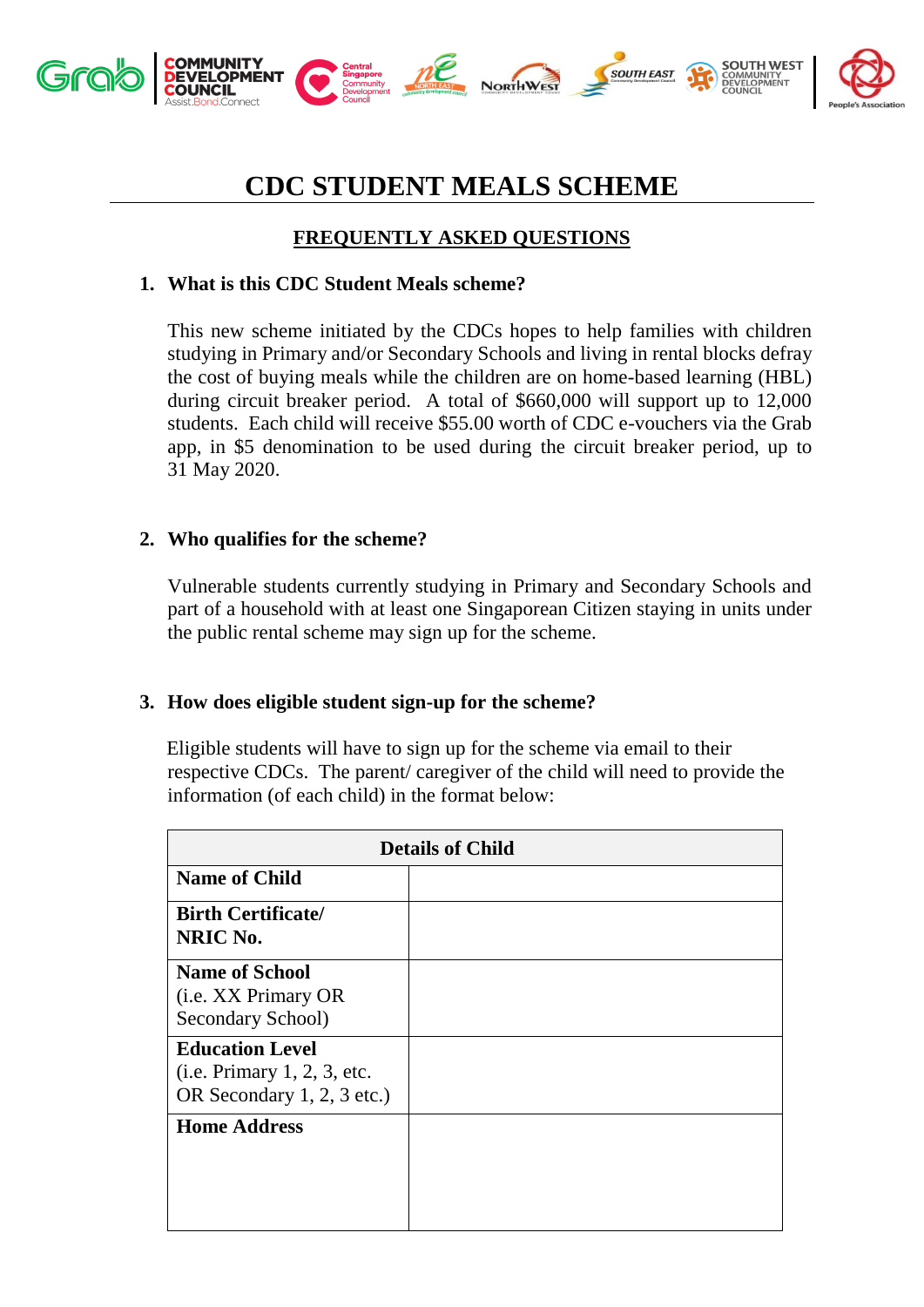

# **CDC STUDENT MEALS SCHEME**

## **FREQUENTLY ASKED QUESTIONS**

## **1. What is this CDC Student Meals scheme?**

This new scheme initiated by the CDCs hopes to help families with children studying in Primary and/or Secondary Schools and living in rental blocks defray the cost of buying meals while the children are on home-based learning (HBL) during circuit breaker period. A total of \$660,000 will support up to 12,000 students. Each child will receive \$55.00 worth of CDC e-vouchers via the Grab app, in \$5 denomination to be used during the circuit breaker period, up to 31 May 2020.

## **2. Who qualifies for the scheme?**

Vulnerable students currently studying in Primary and Secondary Schools and part of a household with at least one Singaporean Citizen staying in units under the public rental scheme may sign up for the scheme.

## **3. How does eligible student sign-up for the scheme?**

Eligible students will have to sign up for the scheme via email to their respective CDCs. The parent/ caregiver of the child will need to provide the information (of each child) in the format below:

| <b>Details of Child</b>                                                             |  |  |
|-------------------------------------------------------------------------------------|--|--|
| <b>Name of Child</b>                                                                |  |  |
| <b>Birth Certificate/</b><br>NRIC No.                                               |  |  |
| <b>Name of School</b><br>( <i>i.e.</i> XX Primary OR<br>Secondary School)           |  |  |
| <b>Education Level</b><br>(i.e. Primary 1, 2, 3, etc.<br>OR Secondary 1, 2, 3 etc.) |  |  |
| <b>Home Address</b>                                                                 |  |  |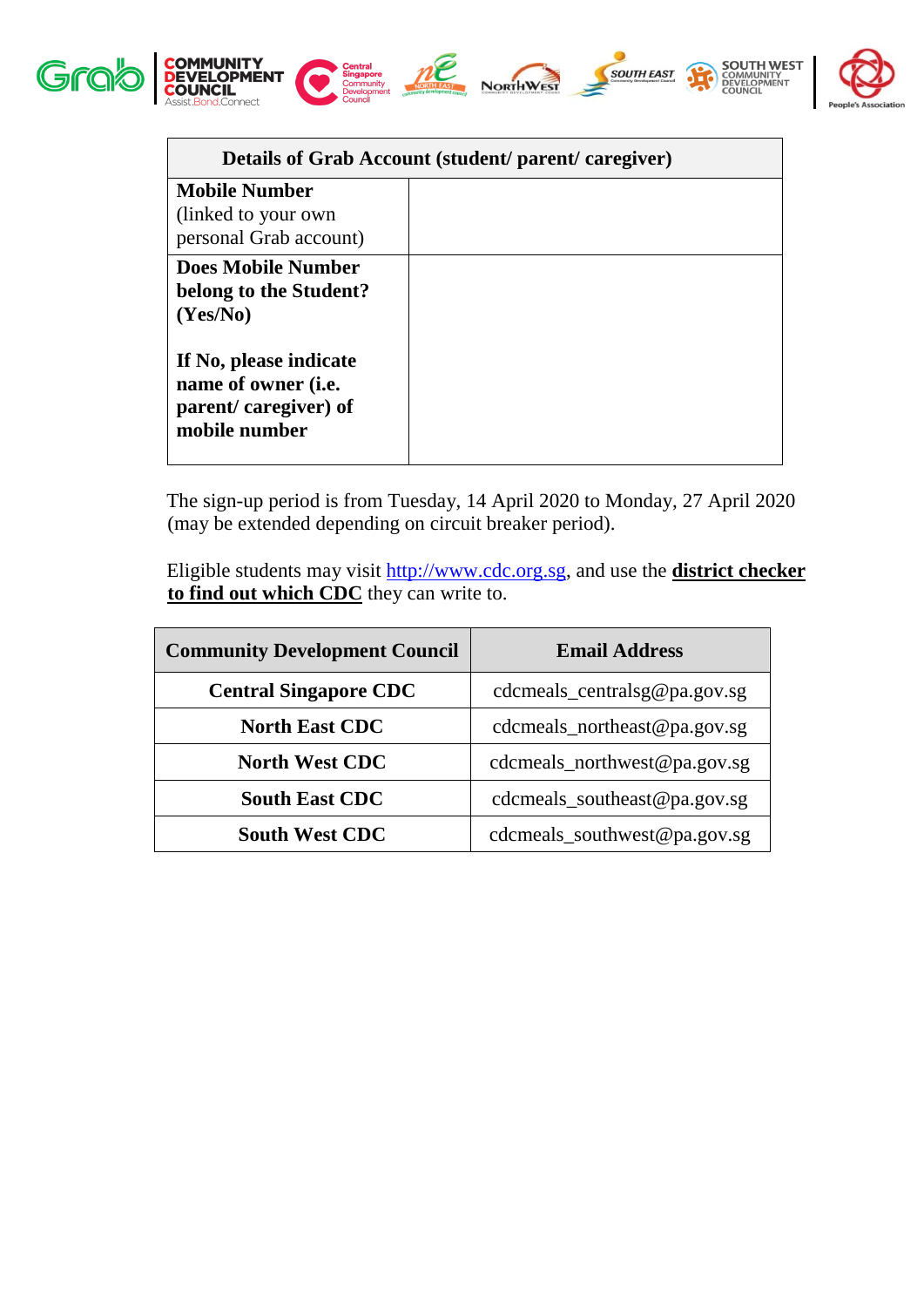

| Details of Grab Account (student/ parent/ caregiver)                                           |  |  |
|------------------------------------------------------------------------------------------------|--|--|
| <b>Mobile Number</b><br>(linked to your own)<br>personal Grab account)                         |  |  |
| <b>Does Mobile Number</b><br>belong to the Student?<br>(Yes/No)                                |  |  |
| If No, please indicate<br>name of owner ( <i>i.e.</i><br>parent/caregiver) of<br>mobile number |  |  |

The sign-up period is from Tuesday, 14 April 2020 to Monday, 27 April 2020 (may be extended depending on circuit breaker period).

Eligible students may visit [http://www.cdc.org.sg,](http://www.cdc.org.sg/) and use the **district checker to find out which CDC** they can write to.

| <b>Community Development Council</b> | <b>Email Address</b>         |
|--------------------------------------|------------------------------|
| <b>Central Singapore CDC</b>         | cdcmeals_centralsg@pa.gov.sg |
| <b>North East CDC</b>                | cdcmeals_northeast@pa.gov.sg |
| <b>North West CDC</b>                | cdcmeals_northwest@pa.gov.sg |
| <b>South East CDC</b>                | cdcmeals_southeast@pa.gov.sg |
| <b>South West CDC</b>                | cdcmeals_southwest@pa.gov.sg |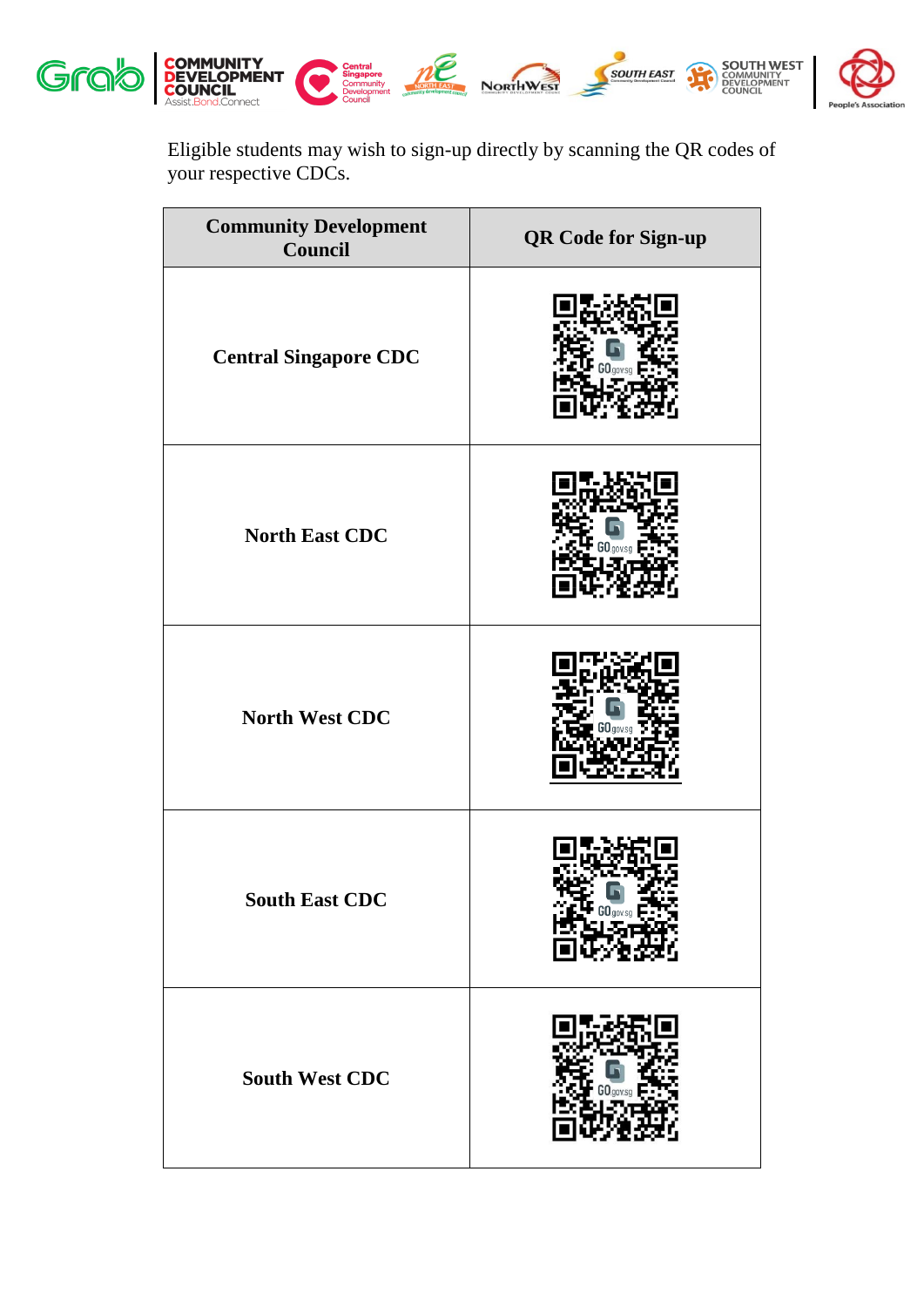

Eligible students may wish to sign-up directly by scanning the QR codes of your respective CDCs.

| <b>Community Development</b><br>Council | <b>QR Code for Sign-up</b> |
|-----------------------------------------|----------------------------|
| <b>Central Singapore CDC</b>            |                            |
| <b>North East CDC</b>                   |                            |
| <b>North West CDC</b>                   |                            |
| <b>South East CDC</b>                   |                            |
| <b>South West CDC</b>                   |                            |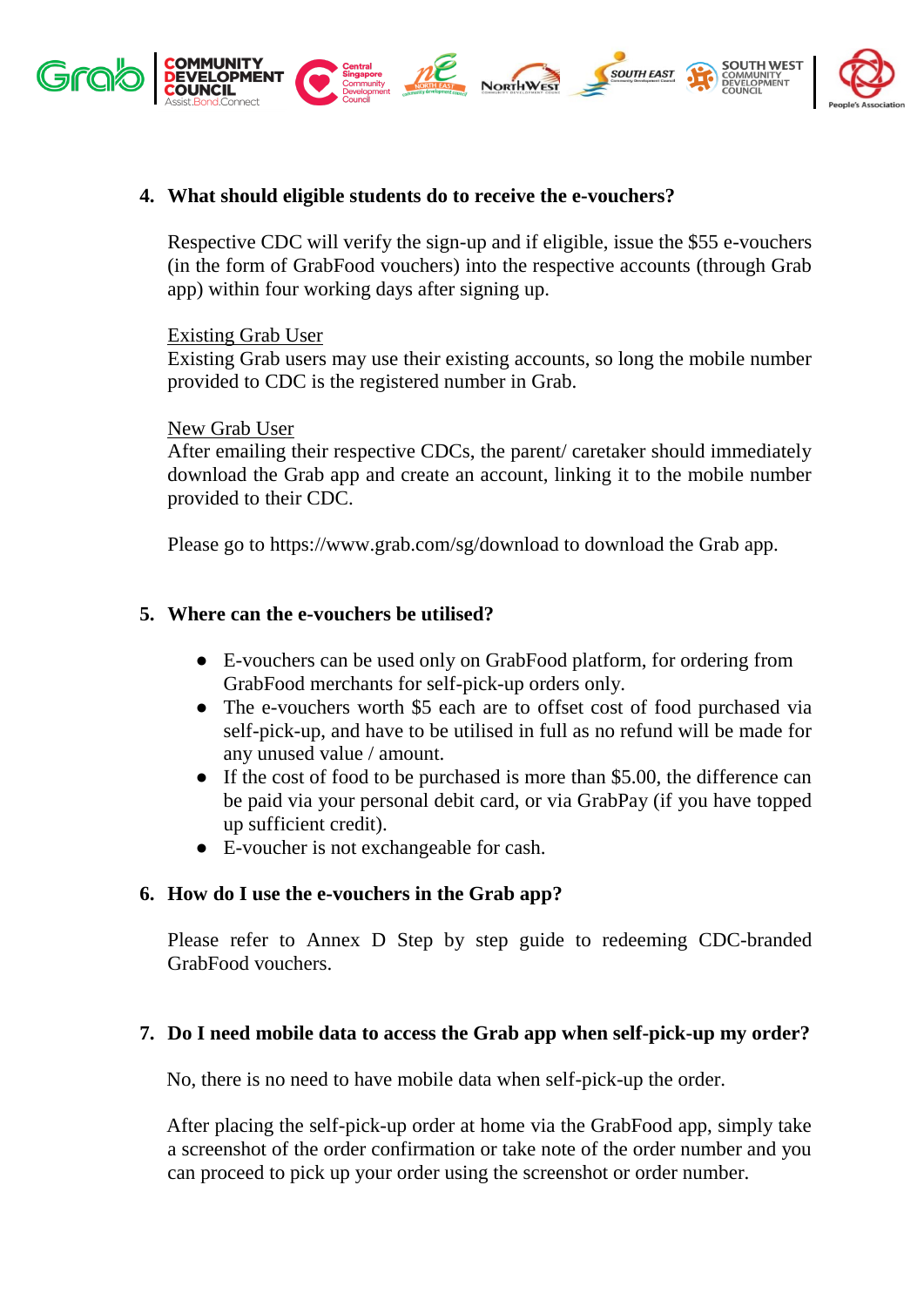

## **4. What should eligible students do to receive the e-vouchers?**

Respective CDC will verify the sign-up and if eligible, issue the \$55 e-vouchers (in the form of GrabFood vouchers) into the respective accounts (through Grab app) within four working days after signing up.

#### Existing Grab User

Existing Grab users may use their existing accounts, so long the mobile number provided to CDC is the registered number in Grab.

#### New Grab User

After emailing their respective CDCs, the parent/ caretaker should immediately download the Grab app and create an account, linking it to the mobile number provided to their CDC.

Please go to https://www.grab.com/sg/download to download the Grab app.

## **5. Where can the e-vouchers be utilised?**

- E-vouchers can be used only on GrabFood platform, for ordering from GrabFood merchants for self-pick-up orders only.
- The e-vouchers worth \$5 each are to offset cost of food purchased via self-pick-up, and have to be utilised in full as no refund will be made for any unused value / amount.
- If the cost of food to be purchased is more than \$5.00, the difference can be paid via your personal debit card, or via GrabPay (if you have topped up sufficient credit).
- E-voucher is not exchangeable for cash.

## **6. How do I use the e-vouchers in the Grab app?**

Please refer to Annex D Step by step guide to redeeming CDC-branded GrabFood vouchers.

## **7. Do I need mobile data to access the Grab app when self-pick-up my order?**

No, there is no need to have mobile data when self-pick-up the order.

After placing the self-pick-up order at home via the GrabFood app, simply take a screenshot of the order confirmation or take note of the order number and you can proceed to pick up your order using the screenshot or order number.